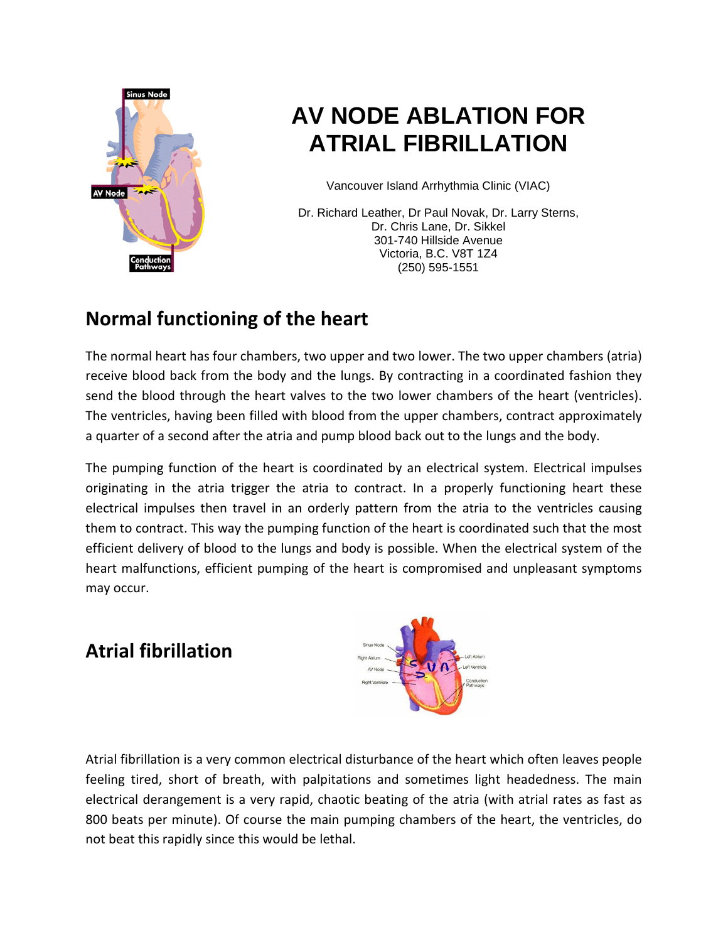

# **AV NODE ABLATION FOR ATRIAL FIBRILLATION**

Vancouver Island Arrhythmia Clinic (VIAC)

Dr. Richard Leather, Dr Paul Novak, Dr. Larry Sterns, Dr. Chris Lane, Dr. Sikkel 301-740 Hillside Avenue Victoria, B.C. V8T 1Z4 (250) 595-1551

# **Normal functioning of the heart**

The normal heart has four chambers, two upper and two lower. The two upper chambers (atria) receive blood back from the body and the lungs. By contracting in a coordinated fashion they send the blood through the heart valves to the two lower chambers of the heart (ventricles). The ventricles, having been filled with blood from the upper chambers, contract approximately a quarter of a second after the atria and pump blood back out to the lungs and the body.

The pumping function of the heart is coordinated by an electrical system. Electrical impulses originating in the atria trigger the atria to contract. In a properly functioning heart these electrical impulses then travel in an orderly pattern from the atria to the ventricles causing them to contract. This way the pumping function of the heart is coordinated such that the most efficient delivery of blood to the lungs and body is possible. When the electrical system of the heart malfunctions, efficient pumping of the heart is compromised and unpleasant symptoms may occur.

#### **Atrial fibrillation**



Atrial fibrillation is a very common electrical disturbance of the heart which often leaves people feeling tired, short of breath, with palpitations and sometimes light headedness. The main electrical derangement is a very rapid, chaotic beating of the atria (with atrial rates as fast as 800 beats per minute). Of course the main pumping chambers of the heart, the ventricles, do not beat this rapidly since this would be lethal.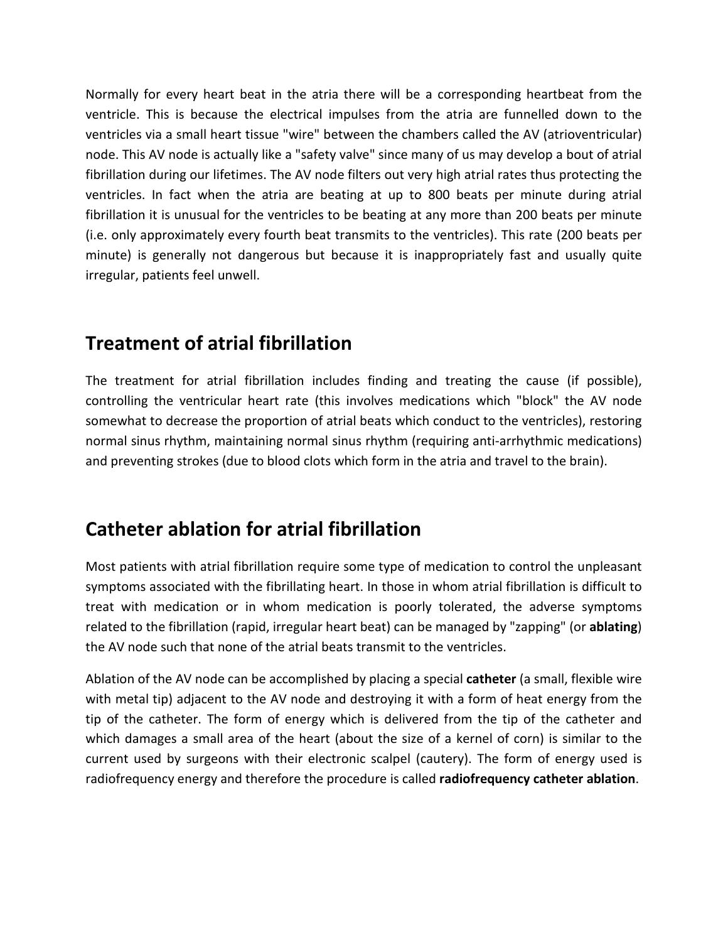Normally for every heart beat in the atria there will be a corresponding heartbeat from the ventricle. This is because the electrical impulses from the atria are funnelled down to the ventricles via a small heart tissue "wire" between the chambers called the AV (atrioventricular) node. This AV node is actually like a "safety valve" since many of us may develop a bout of atrial fibrillation during our lifetimes. The AV node filters out very high atrial rates thus protecting the ventricles. In fact when the atria are beating at up to 800 beats per minute during atrial fibrillation it is unusual for the ventricles to be beating at any more than 200 beats per minute (i.e. only approximately every fourth beat transmits to the ventricles). This rate (200 beats per minute) is generally not dangerous but because it is inappropriately fast and usually quite irregular, patients feel unwell.

#### **Treatment of atrial fibrillation**

The treatment for atrial fibrillation includes finding and treating the cause (if possible), controlling the ventricular heart rate (this involves medications which "block" the AV node somewhat to decrease the proportion of atrial beats which conduct to the ventricles), restoring normal sinus rhythm, maintaining normal sinus rhythm (requiring anti-arrhythmic medications) and preventing strokes (due to blood clots which form in the atria and travel to the brain).

# **Catheter ablation for atrial fibrillation**

Most patients with atrial fibrillation require some type of medication to control the unpleasant symptoms associated with the fibrillating heart. In those in whom atrial fibrillation is difficult to treat with medication or in whom medication is poorly tolerated, the adverse symptoms related to the fibrillation (rapid, irregular heart beat) can be managed by "zapping" (or **ablating**) the AV node such that none of the atrial beats transmit to the ventricles.

Ablation of the AV node can be accomplished by placing a special **catheter** (a small, flexible wire with metal tip) adjacent to the AV node and destroying it with a form of heat energy from the tip of the catheter. The form of energy which is delivered from the tip of the catheter and which damages a small area of the heart (about the size of a kernel of corn) is similar to the current used by surgeons with their electronic scalpel (cautery). The form of energy used is radiofrequency energy and therefore the procedure is called **radiofrequency catheter ablation**.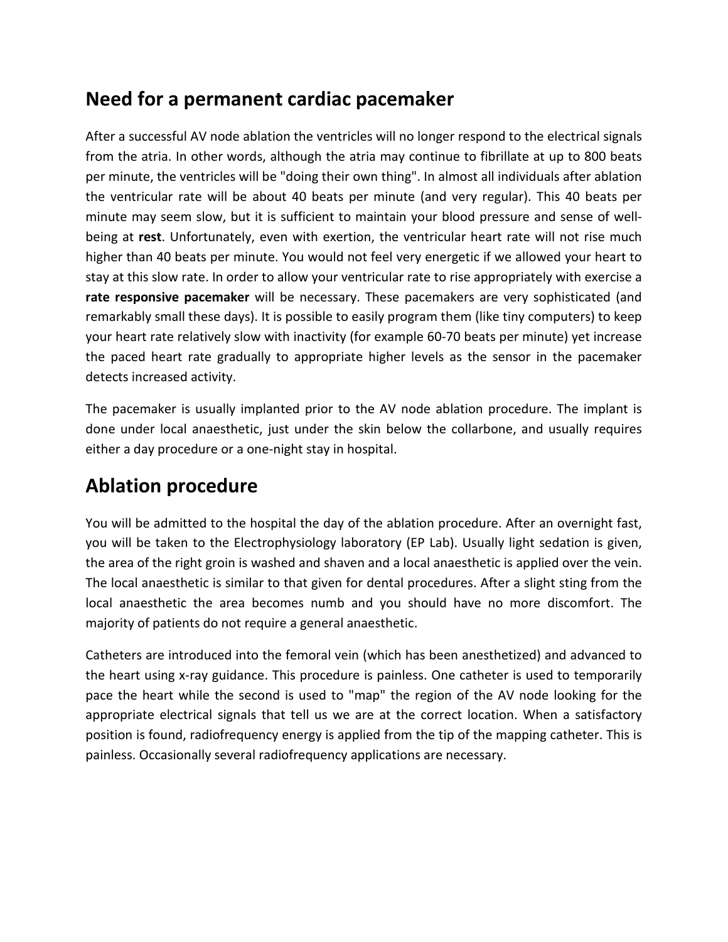## **Need for a permanent cardiac pacemaker**

After a successful AV node ablation the ventricles will no longer respond to the electrical signals from the atria. In other words, although the atria may continue to fibrillate at up to 800 beats per minute, the ventricles will be "doing their own thing". In almost all individuals after ablation the ventricular rate will be about 40 beats per minute (and very regular). This 40 beats per minute may seem slow, but it is sufficient to maintain your blood pressure and sense of wellbeing at **rest**. Unfortunately, even with exertion, the ventricular heart rate will not rise much higher than 40 beats per minute. You would not feel very energetic if we allowed your heart to stay at this slow rate. In order to allow your ventricular rate to rise appropriately with exercise a **rate responsive pacemaker** will be necessary. These pacemakers are very sophisticated (and remarkably small these days). It is possible to easily program them (like tiny computers) to keep your heart rate relatively slow with inactivity (for example 60-70 beats per minute) yet increase the paced heart rate gradually to appropriate higher levels as the sensor in the pacemaker detects increased activity.

The pacemaker is usually implanted prior to the AV node ablation procedure. The implant is done under local anaesthetic, just under the skin below the collarbone, and usually requires either a day procedure or a one-night stay in hospital.

#### **Ablation procedure**

You will be admitted to the hospital the day of the ablation procedure. After an overnight fast, you will be taken to the Electrophysiology laboratory (EP Lab). Usually light sedation is given, the area of the right groin is washed and shaven and a local anaesthetic is applied over the vein. The local anaesthetic is similar to that given for dental procedures. After a slight sting from the local anaesthetic the area becomes numb and you should have no more discomfort. The majority of patients do not require a general anaesthetic.

Catheters are introduced into the femoral vein (which has been anesthetized) and advanced to the heart using x-ray guidance. This procedure is painless. One catheter is used to temporarily pace the heart while the second is used to "map" the region of the AV node looking for the appropriate electrical signals that tell us we are at the correct location. When a satisfactory position is found, radiofrequency energy is applied from the tip of the mapping catheter. This is painless. Occasionally several radiofrequency applications are necessary.